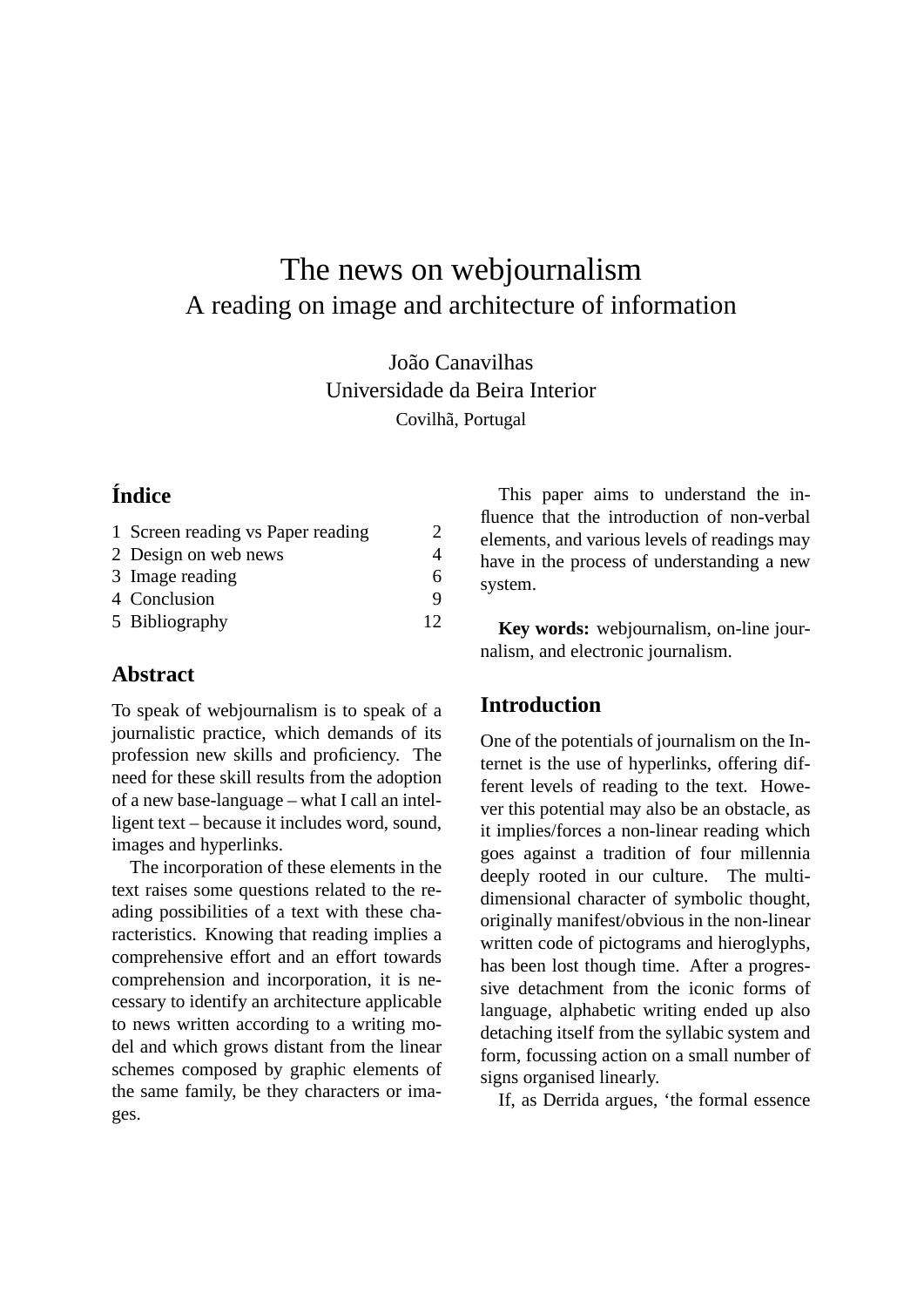# The news on webjournalism A reading on image and architecture of information

João Canavilhas Universidade da Beira Interior Covilhã, Portugal

## **Índice**

| 1 Screen reading vs Paper reading | 2  |
|-----------------------------------|----|
| 2 Design on web news              |    |
| 3 Image reading                   | 6  |
| 4 Conclusion                      | q  |
| 5 Bibliography                    | 12 |

## **Abstract**

To speak of webjournalism is to speak of a journalistic practice, which demands of its profession new skills and proficiency. The need for these skill results from the adoption of a new base-language – what I call an intelligent text – because it includes word, sound, images and hyperlinks.

The incorporation of these elements in the text raises some questions related to the reading possibilities of a text with these characteristics. Knowing that reading implies a comprehensive effort and an effort towards comprehension and incorporation, it is necessary to identify an architecture applicable to news written according to a writing model and which grows distant from the linear schemes composed by graphic elements of the same family, be they characters or images.

This paper aims to understand the influence that the introduction of non-verbal elements, and various levels of readings may have in the process of understanding a new system.

**Key words:** webjournalism, on-line journalism, and electronic journalism.

## **Introduction**

One of the potentials of journalism on the Internet is the use of hyperlinks, offering different levels of reading to the text. However this potential may also be an obstacle, as it implies/forces a non-linear reading which goes against a tradition of four millennia deeply rooted in our culture. The multidimensional character of symbolic thought, originally manifest/obvious in the non-linear written code of pictograms and hieroglyphs, has been lost though time. After a progressive detachment from the iconic forms of language, alphabetic writing ended up also detaching itself from the syllabic system and form, focussing action on a small number of signs organised linearly.

If, as Derrida argues, 'the formal essence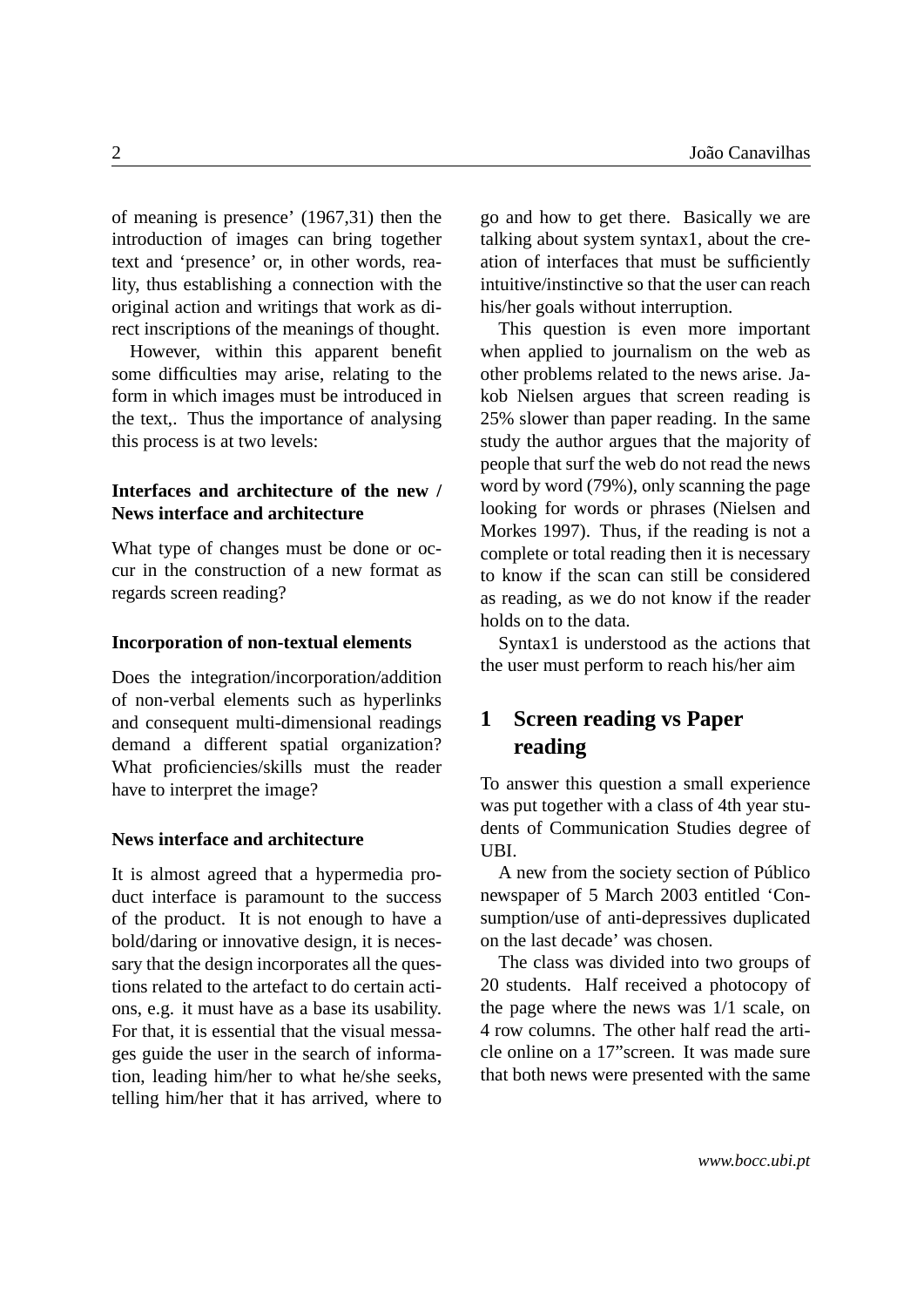of meaning is presence' (1967,31) then the introduction of images can bring together text and 'presence' or, in other words, reality, thus establishing a connection with the original action and writings that work as direct inscriptions of the meanings of thought.

However, within this apparent benefit some difficulties may arise, relating to the form in which images must be introduced in the text,. Thus the importance of analysing this process is at two levels:

#### **Interfaces and architecture of the new / News interface and architecture**

What type of changes must be done or occur in the construction of a new format as regards screen reading?

#### **Incorporation of non-textual elements**

Does the integration/incorporation/addition of non-verbal elements such as hyperlinks and consequent multi-dimensional readings demand a different spatial organization? What proficiencies/skills must the reader have to interpret the image?

#### **News interface and architecture**

It is almost agreed that a hypermedia product interface is paramount to the success of the product. It is not enough to have a bold/daring or innovative design, it is necessary that the design incorporates all the questions related to the artefact to do certain actions, e.g. it must have as a base its usability. For that, it is essential that the visual messages guide the user in the search of information, leading him/her to what he/she seeks, telling him/her that it has arrived, where to

go and how to get there. Basically we are talking about system syntax1, about the creation of interfaces that must be sufficiently intuitive/instinctive so that the user can reach his/her goals without interruption.

This question is even more important when applied to journalism on the web as other problems related to the news arise. Jakob Nielsen argues that screen reading is 25% slower than paper reading. In the same study the author argues that the majority of people that surf the web do not read the news word by word (79%), only scanning the page looking for words or phrases (Nielsen and Morkes 1997). Thus, if the reading is not a complete or total reading then it is necessary to know if the scan can still be considered as reading, as we do not know if the reader holds on to the data.

Syntax1 is understood as the actions that the user must perform to reach his/her aim

## <span id="page-1-0"></span>**1 Screen reading vs Paper reading**

To answer this question a small experience was put together with a class of 4th year students of Communication Studies degree of UBI.

A new from the society section of Público newspaper of 5 March 2003 entitled 'Consumption/use of anti-depressives duplicated on the last decade' was chosen.

The class was divided into two groups of 20 students. Half received a photocopy of the page where the news was 1/1 scale, on 4 row columns. The other half read the article online on a 17"screen. It was made sure that both news were presented with the same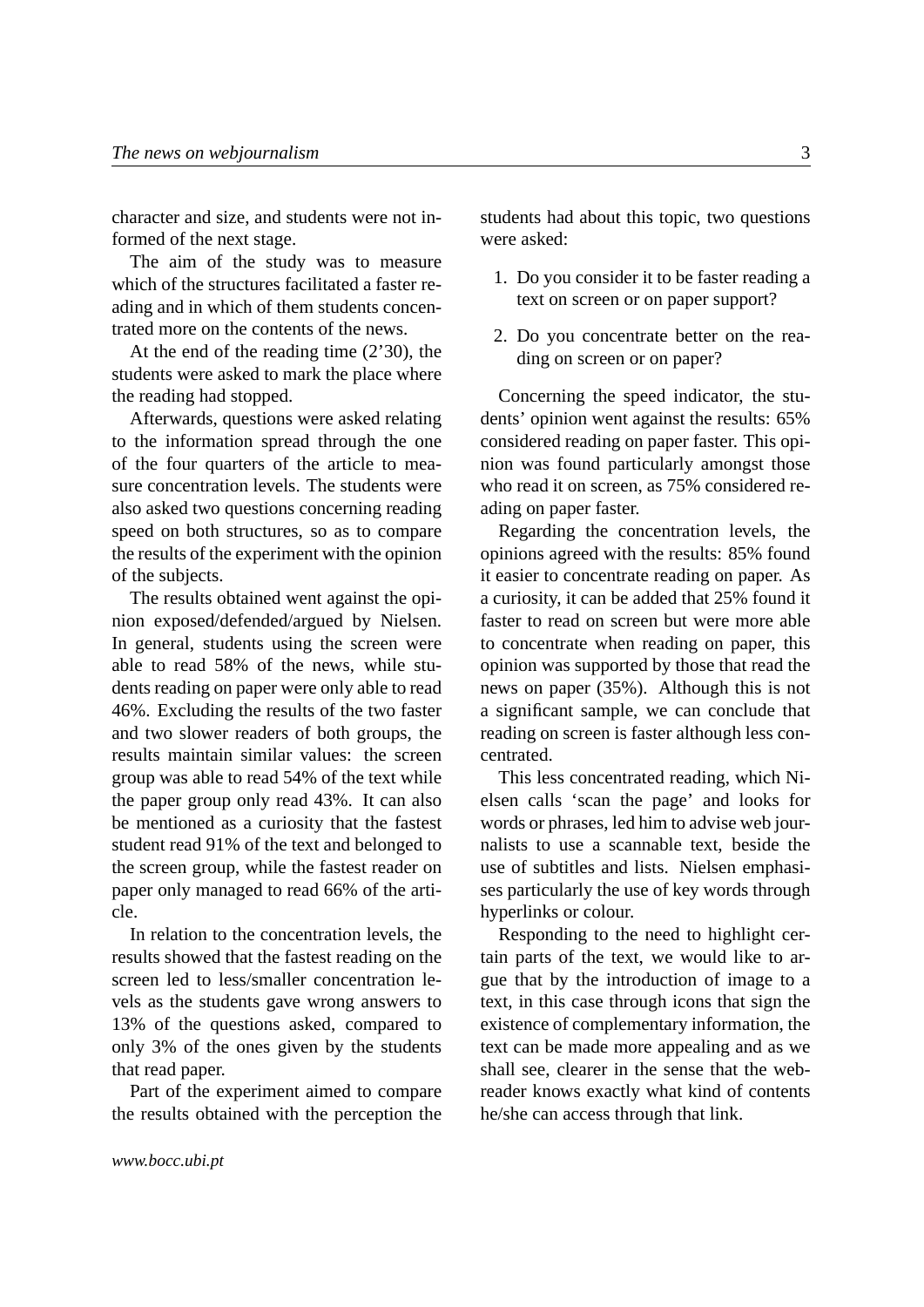character and size, and students were not informed of the next stage.

The aim of the study was to measure which of the structures facilitated a faster reading and in which of them students concentrated more on the contents of the news.

At the end of the reading time (2'30), the students were asked to mark the place where the reading had stopped.

Afterwards, questions were asked relating to the information spread through the one of the four quarters of the article to measure concentration levels. The students were also asked two questions concerning reading speed on both structures, so as to compare the results of the experiment with the opinion of the subjects.

The results obtained went against the opinion exposed/defended/argued by Nielsen. In general, students using the screen were able to read 58% of the news, while students reading on paper were only able to read 46%. Excluding the results of the two faster and two slower readers of both groups, the results maintain similar values: the screen group was able to read 54% of the text while the paper group only read 43%. It can also be mentioned as a curiosity that the fastest student read 91% of the text and belonged to the screen group, while the fastest reader on paper only managed to read 66% of the article.

In relation to the concentration levels, the results showed that the fastest reading on the screen led to less/smaller concentration levels as the students gave wrong answers to 13% of the questions asked, compared to only 3% of the ones given by the students that read paper.

Part of the experiment aimed to compare the results obtained with the perception the students had about this topic, two questions were asked:

- 1. Do you consider it to be faster reading a text on screen or on paper support?
- 2. Do you concentrate better on the reading on screen or on paper?

Concerning the speed indicator, the students' opinion went against the results: 65% considered reading on paper faster. This opinion was found particularly amongst those who read it on screen, as 75% considered reading on paper faster.

Regarding the concentration levels, the opinions agreed with the results: 85% found it easier to concentrate reading on paper. As a curiosity, it can be added that 25% found it faster to read on screen but were more able to concentrate when reading on paper, this opinion was supported by those that read the news on paper (35%). Although this is not a significant sample, we can conclude that reading on screen is faster although less concentrated.

This less concentrated reading, which Nielsen calls 'scan the page' and looks for words or phrases, led him to advise web journalists to use a scannable text, beside the use of subtitles and lists. Nielsen emphasises particularly the use of key words through hyperlinks or colour.

Responding to the need to highlight certain parts of the text, we would like to argue that by the introduction of image to a text, in this case through icons that sign the existence of complementary information, the text can be made more appealing and as we shall see, clearer in the sense that the webreader knows exactly what kind of contents he/she can access through that link.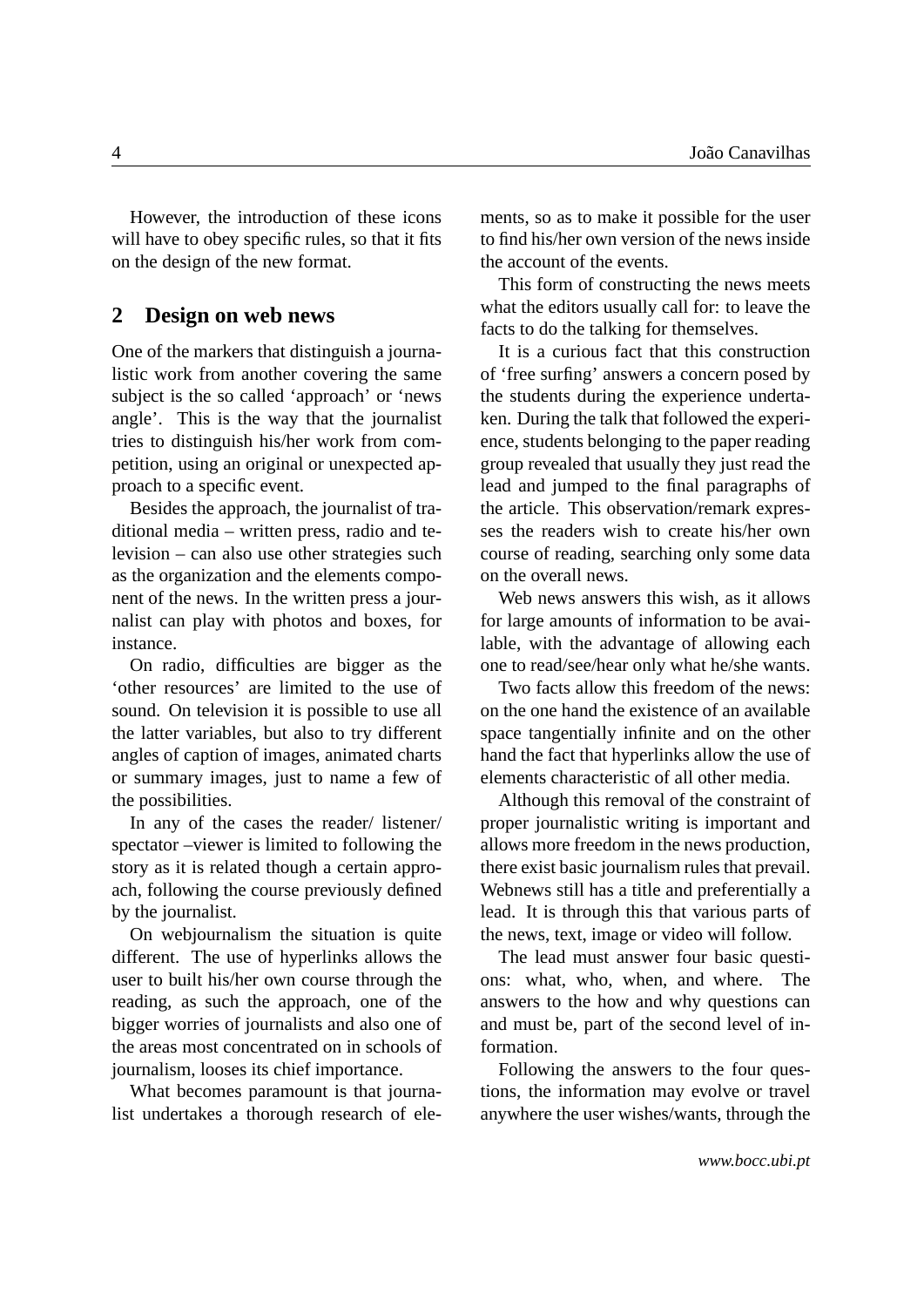However, the introduction of these icons will have to obey specific rules, so that it fits on the design of the new format.

#### <span id="page-3-0"></span>**2 Design on web news**

One of the markers that distinguish a journalistic work from another covering the same subject is the so called 'approach' or 'news angle'. This is the way that the journalist tries to distinguish his/her work from competition, using an original or unexpected approach to a specific event.

Besides the approach, the journalist of traditional media – written press, radio and television – can also use other strategies such as the organization and the elements component of the news. In the written press a journalist can play with photos and boxes, for instance.

On radio, difficulties are bigger as the 'other resources' are limited to the use of sound. On television it is possible to use all the latter variables, but also to try different angles of caption of images, animated charts or summary images, just to name a few of the possibilities.

In any of the cases the reader/ listener/ spectator –viewer is limited to following the story as it is related though a certain approach, following the course previously defined by the journalist.

On webjournalism the situation is quite different. The use of hyperlinks allows the user to built his/her own course through the reading, as such the approach, one of the bigger worries of journalists and also one of the areas most concentrated on in schools of journalism, looses its chief importance.

What becomes paramount is that journalist undertakes a thorough research of elements, so as to make it possible for the user to find his/her own version of the news inside the account of the events.

This form of constructing the news meets what the editors usually call for: to leave the facts to do the talking for themselves.

It is a curious fact that this construction of 'free surfing' answers a concern posed by the students during the experience undertaken. During the talk that followed the experience, students belonging to the paper reading group revealed that usually they just read the lead and jumped to the final paragraphs of the article. This observation/remark expresses the readers wish to create his/her own course of reading, searching only some data on the overall news.

Web news answers this wish, as it allows for large amounts of information to be available, with the advantage of allowing each one to read/see/hear only what he/she wants.

Two facts allow this freedom of the news: on the one hand the existence of an available space tangentially infinite and on the other hand the fact that hyperlinks allow the use of elements characteristic of all other media.

Although this removal of the constraint of proper journalistic writing is important and allows more freedom in the news production, there exist basic journalism rules that prevail. Webnews still has a title and preferentially a lead. It is through this that various parts of the news, text, image or video will follow.

The lead must answer four basic questions: what, who, when, and where. The answers to the how and why questions can and must be, part of the second level of information.

Following the answers to the four questions, the information may evolve or travel anywhere the user wishes/wants, through the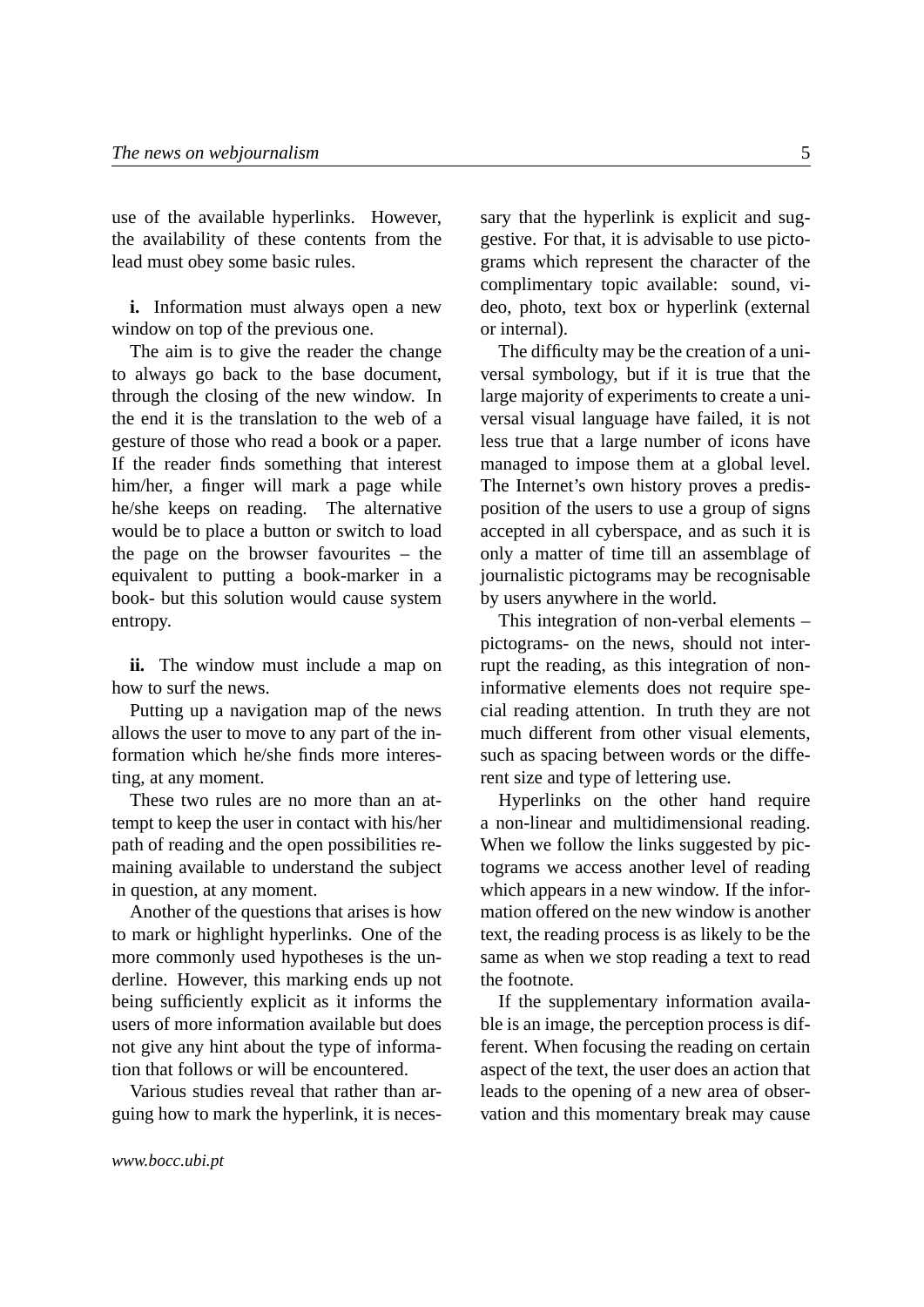use of the available hyperlinks. However, the availability of these contents from the lead must obey some basic rules.

**i.** Information must always open a new window on top of the previous one.

The aim is to give the reader the change to always go back to the base document, through the closing of the new window. In the end it is the translation to the web of a gesture of those who read a book or a paper. If the reader finds something that interest him/her, a finger will mark a page while he/she keeps on reading. The alternative would be to place a button or switch to load the page on the browser favourites – the equivalent to putting a book-marker in a book- but this solution would cause system entropy.

**ii.** The window must include a map on how to surf the news.

Putting up a navigation map of the news allows the user to move to any part of the information which he/she finds more interesting, at any moment.

These two rules are no more than an attempt to keep the user in contact with his/her path of reading and the open possibilities remaining available to understand the subject in question, at any moment.

Another of the questions that arises is how to mark or highlight hyperlinks. One of the more commonly used hypotheses is the underline. However, this marking ends up not being sufficiently explicit as it informs the users of more information available but does not give any hint about the type of information that follows or will be encountered.

Various studies reveal that rather than arguing how to mark the hyperlink, it is necessary that the hyperlink is explicit and suggestive. For that, it is advisable to use pictograms which represent the character of the complimentary topic available: sound, video, photo, text box or hyperlink (external or internal).

The difficulty may be the creation of a universal symbology, but if it is true that the large majority of experiments to create a universal visual language have failed, it is not less true that a large number of icons have managed to impose them at a global level. The Internet's own history proves a predisposition of the users to use a group of signs accepted in all cyberspace, and as such it is only a matter of time till an assemblage of journalistic pictograms may be recognisable by users anywhere in the world.

This integration of non-verbal elements – pictograms- on the news, should not interrupt the reading, as this integration of noninformative elements does not require special reading attention. In truth they are not much different from other visual elements, such as spacing between words or the different size and type of lettering use.

Hyperlinks on the other hand require a non-linear and multidimensional reading. When we follow the links suggested by pictograms we access another level of reading which appears in a new window. If the information offered on the new window is another text, the reading process is as likely to be the same as when we stop reading a text to read the footnote.

If the supplementary information available is an image, the perception process is different. When focusing the reading on certain aspect of the text, the user does an action that leads to the opening of a new area of observation and this momentary break may cause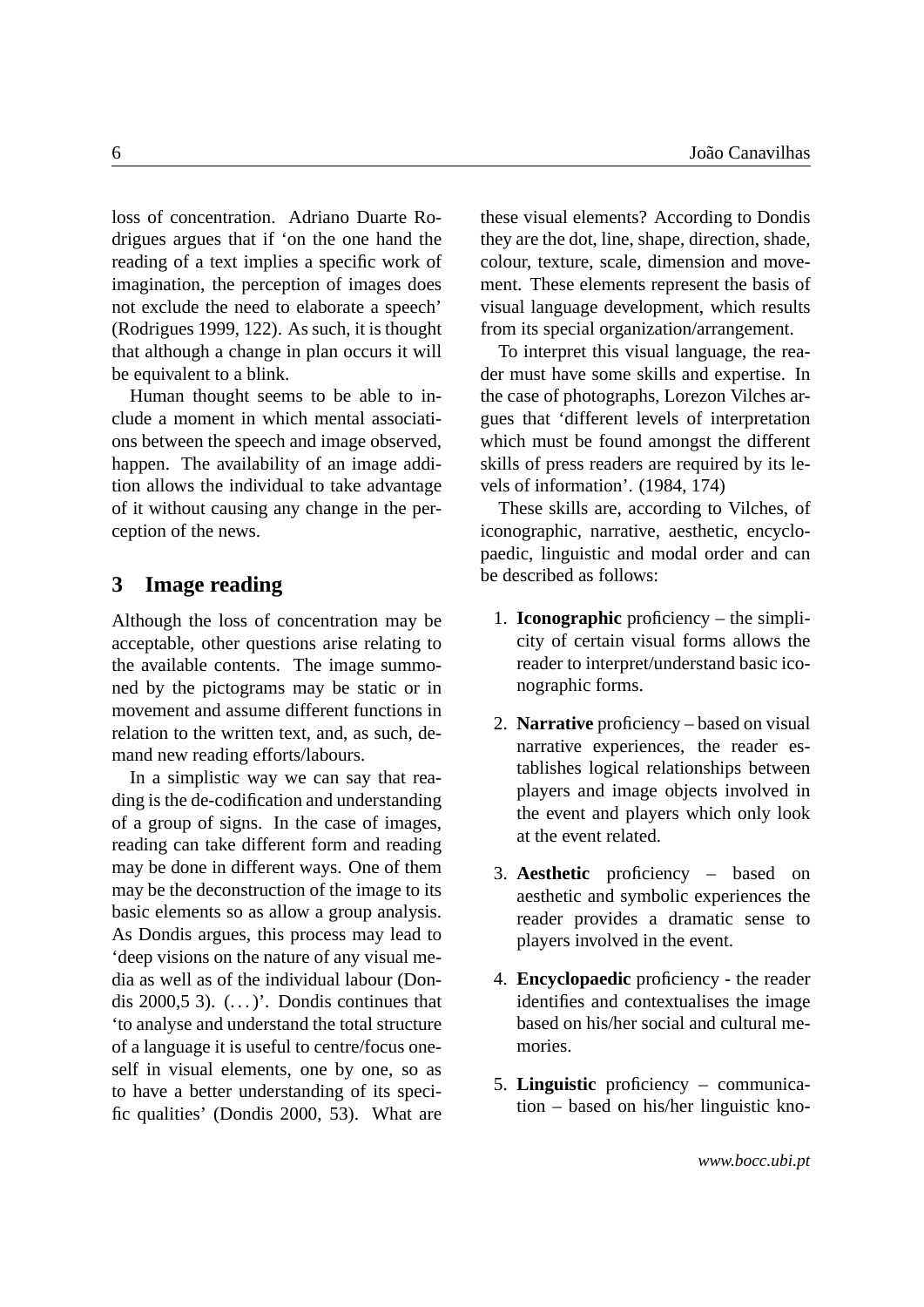loss of concentration. Adriano Duarte Rodrigues argues that if 'on the one hand the reading of a text implies a specific work of imagination, the perception of images does not exclude the need to elaborate a speech' (Rodrigues 1999, 122). As such, it is thought that although a change in plan occurs it will be equivalent to a blink.

Human thought seems to be able to include a moment in which mental associations between the speech and image observed, happen. The availability of an image addition allows the individual to take advantage of it without causing any change in the perception of the news.

## <span id="page-5-0"></span>**3 Image reading**

Although the loss of concentration may be acceptable, other questions arise relating to the available contents. The image summoned by the pictograms may be static or in movement and assume different functions in relation to the written text, and, as such, demand new reading efforts/labours.

In a simplistic way we can say that reading is the de-codification and understanding of a group of signs. In the case of images, reading can take different form and reading may be done in different ways. One of them may be the deconstruction of the image to its basic elements so as allow a group analysis. As Dondis argues, this process may lead to 'deep visions on the nature of any visual media as well as of the individual labour (Dondis  $2000.5$  3).  $($ ...  $)$ . Dondis continues that 'to analyse and understand the total structure of a language it is useful to centre/focus oneself in visual elements, one by one, so as to have a better understanding of its specific qualities' (Dondis 2000, 53). What are these visual elements? According to Dondis they are the dot, line, shape, direction, shade, colour, texture, scale, dimension and movement. These elements represent the basis of visual language development, which results from its special organization/arrangement.

To interpret this visual language, the reader must have some skills and expertise. In the case of photographs, Lorezon Vilches argues that 'different levels of interpretation which must be found amongst the different skills of press readers are required by its levels of information'. (1984, 174)

These skills are, according to Vilches, of iconographic, narrative, aesthetic, encyclopaedic, linguistic and modal order and can be described as follows:

- 1. **Iconographic** proficiency the simplicity of certain visual forms allows the reader to interpret/understand basic iconographic forms.
- 2. **Narrative** proficiency based on visual narrative experiences, the reader establishes logical relationships between players and image objects involved in the event and players which only look at the event related.
- 3. **Aesthetic** proficiency based on aesthetic and symbolic experiences the reader provides a dramatic sense to players involved in the event.
- 4. **Encyclopaedic** proficiency the reader identifies and contextualises the image based on his/her social and cultural memories.
- 5. **Linguistic** proficiency communication – based on his/her linguistic kno-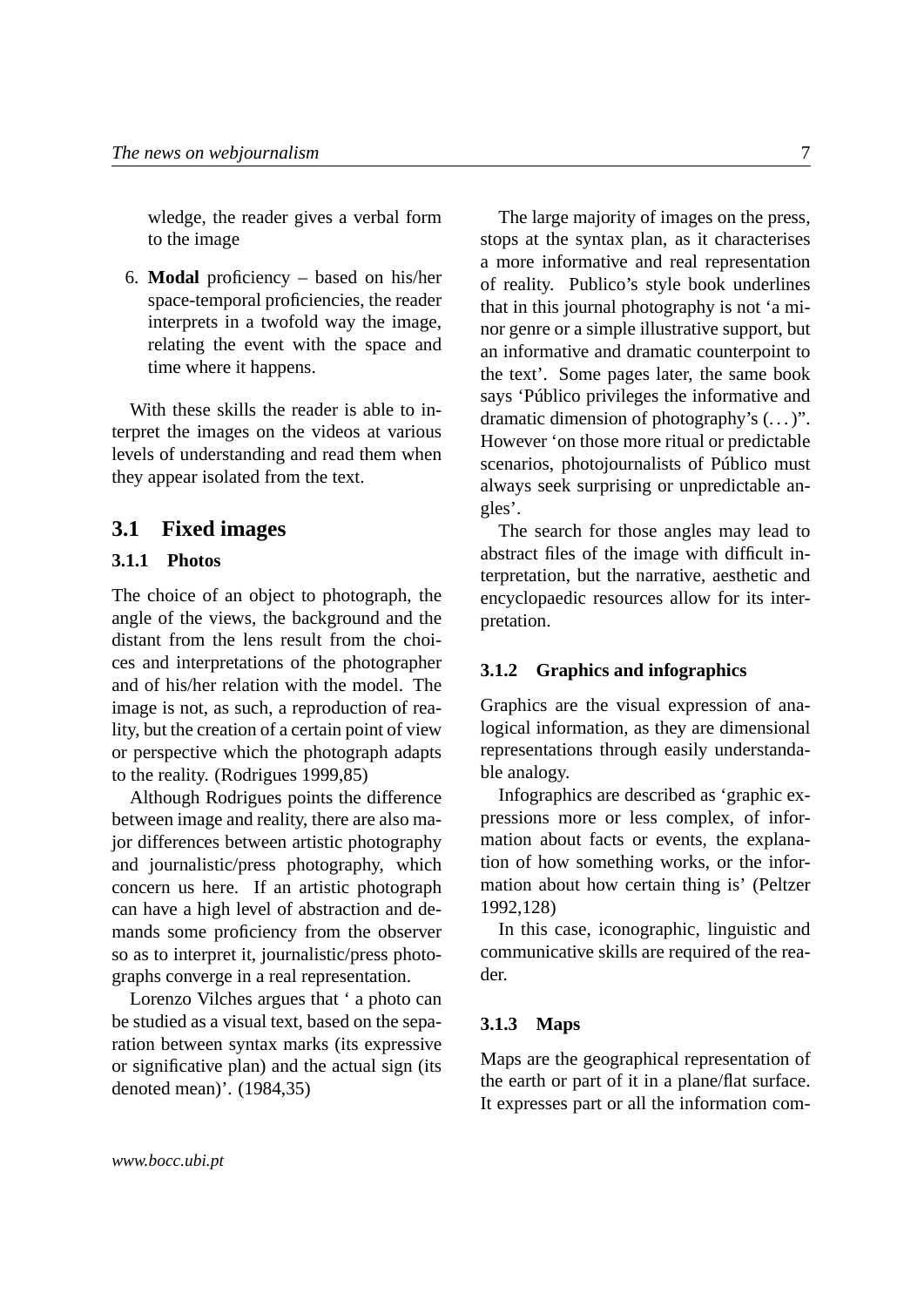wledge, the reader gives a verbal form to the image

6. **Modal** proficiency – based on his/her space-temporal proficiencies, the reader interprets in a twofold way the image, relating the event with the space and time where it happens.

With these skills the reader is able to interpret the images on the videos at various levels of understanding and read them when they appear isolated from the text.

#### **3.1 Fixed images**

#### **3.1.1 Photos**

The choice of an object to photograph, the angle of the views, the background and the distant from the lens result from the choices and interpretations of the photographer and of his/her relation with the model. The image is not, as such, a reproduction of reality, but the creation of a certain point of view or perspective which the photograph adapts to the reality. (Rodrigues 1999,85)

Although Rodrigues points the difference between image and reality, there are also major differences between artistic photography and journalistic/press photography, which concern us here. If an artistic photograph can have a high level of abstraction and demands some proficiency from the observer so as to interpret it, journalistic/press photographs converge in a real representation.

Lorenzo Vilches argues that ' a photo can be studied as a visual text, based on the separation between syntax marks (its expressive or significative plan) and the actual sign (its denoted mean)'. (1984,35)

The large majority of images on the press, stops at the syntax plan, as it characterises a more informative and real representation of reality. Publico's style book underlines that in this journal photography is not 'a minor genre or a simple illustrative support, but an informative and dramatic counterpoint to the text'. Some pages later, the same book says 'Público privileges the informative and dramatic dimension of photography's  $(\dots)$ ". However 'on those more ritual or predictable scenarios, photojournalists of Público must always seek surprising or unpredictable angles'.

The search for those angles may lead to abstract files of the image with difficult interpretation, but the narrative, aesthetic and encyclopaedic resources allow for its interpretation.

#### **3.1.2 Graphics and infographics**

Graphics are the visual expression of analogical information, as they are dimensional representations through easily understandable analogy.

Infographics are described as 'graphic expressions more or less complex, of information about facts or events, the explanation of how something works, or the information about how certain thing is' (Peltzer 1992,128)

In this case, iconographic, linguistic and communicative skills are required of the reader.

#### **3.1.3 Maps**

Maps are the geographical representation of the earth or part of it in a plane/flat surface. It expresses part or all the information com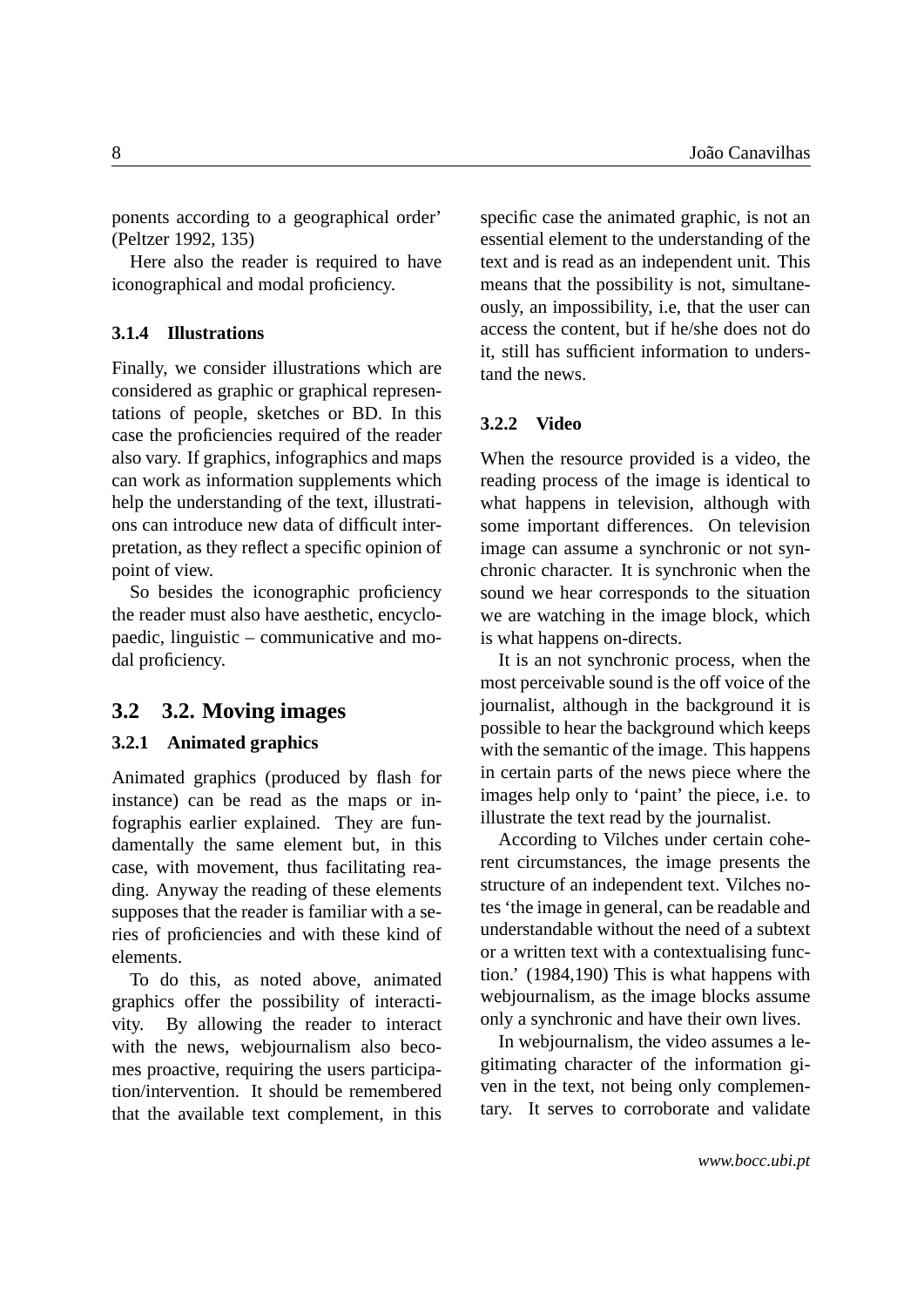ponents according to a geographical order' (Peltzer 1992, 135)

Here also the reader is required to have iconographical and modal proficiency.

#### **3.1.4 Illustrations**

Finally, we consider illustrations which are considered as graphic or graphical representations of people, sketches or BD. In this case the proficiencies required of the reader also vary. If graphics, infographics and maps can work as information supplements which help the understanding of the text, illustrations can introduce new data of difficult interpretation, as they reflect a specific opinion of point of view.

So besides the iconographic proficiency the reader must also have aesthetic, encyclopaedic, linguistic – communicative and modal proficiency.

#### **3.2 3.2. Moving images**

#### **3.2.1 Animated graphics**

Animated graphics (produced by flash for instance) can be read as the maps or infographis earlier explained. They are fundamentally the same element but, in this case, with movement, thus facilitating reading. Anyway the reading of these elements supposes that the reader is familiar with a series of proficiencies and with these kind of elements.

To do this, as noted above, animated graphics offer the possibility of interactivity. By allowing the reader to interact with the news, webjournalism also becomes proactive, requiring the users participation/intervention. It should be remembered that the available text complement, in this specific case the animated graphic, is not an essential element to the understanding of the text and is read as an independent unit. This means that the possibility is not, simultaneously, an impossibility, i.e, that the user can access the content, but if he/she does not do it, still has sufficient information to understand the news.

#### **3.2.2 Video**

When the resource provided is a video, the reading process of the image is identical to what happens in television, although with some important differences. On television image can assume a synchronic or not synchronic character. It is synchronic when the sound we hear corresponds to the situation we are watching in the image block, which is what happens on-directs.

It is an not synchronic process, when the most perceivable sound is the off voice of the journalist, although in the background it is possible to hear the background which keeps with the semantic of the image. This happens in certain parts of the news piece where the images help only to 'paint' the piece, i.e. to illustrate the text read by the journalist.

According to Vilches under certain coherent circumstances, the image presents the structure of an independent text. Vilches notes 'the image in general, can be readable and understandable without the need of a subtext or a written text with a contextualising function.' (1984,190) This is what happens with webjournalism, as the image blocks assume only a synchronic and have their own lives.

In webjournalism, the video assumes a legitimating character of the information given in the text, not being only complementary. It serves to corroborate and validate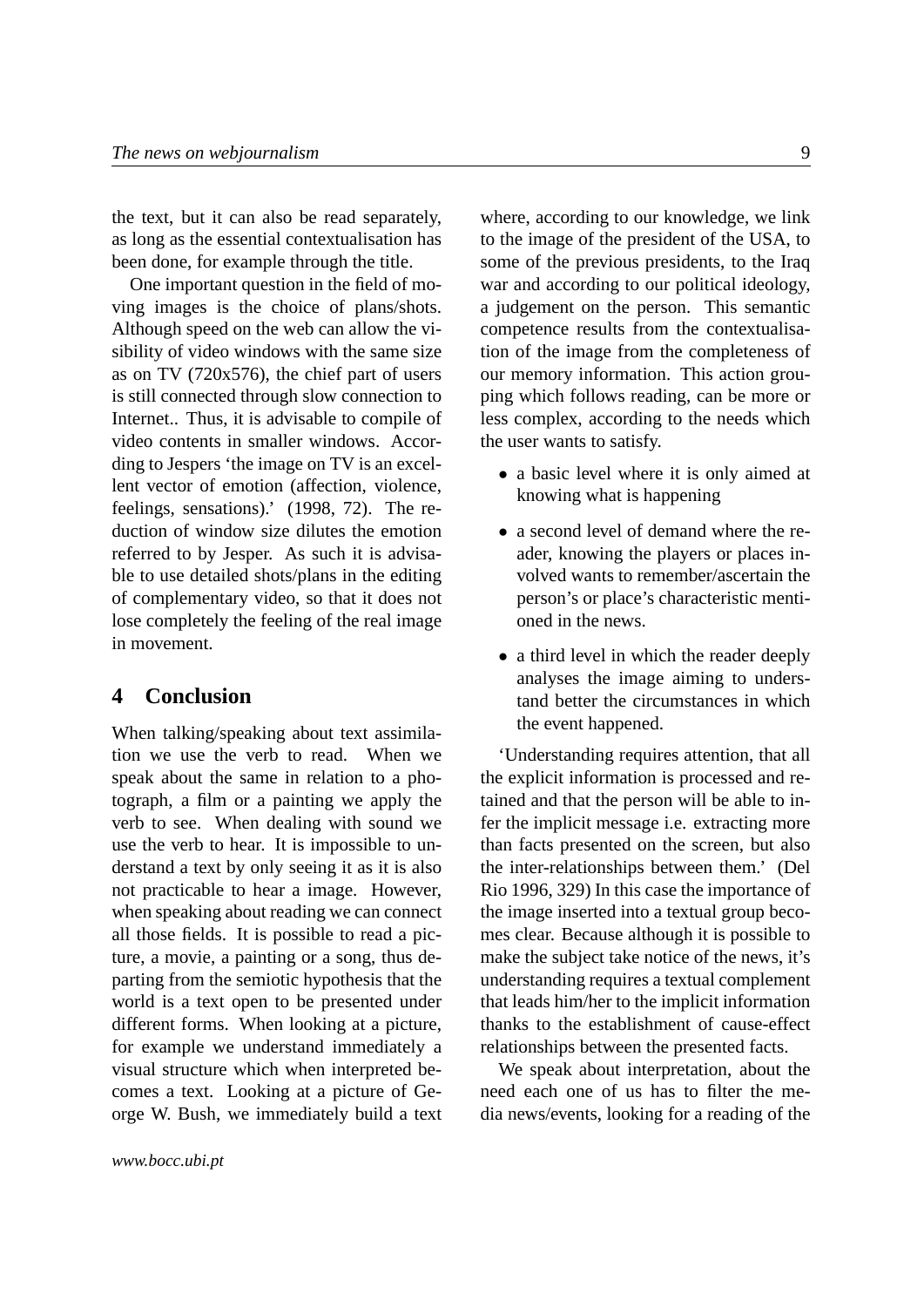the text, but it can also be read separately, as long as the essential contextualisation has been done, for example through the title.

One important question in the field of moving images is the choice of plans/shots. Although speed on the web can allow the visibility of video windows with the same size as on TV (720x576), the chief part of users is still connected through slow connection to Internet.. Thus, it is advisable to compile of video contents in smaller windows. According to Jespers 'the image on TV is an excellent vector of emotion (affection, violence, feelings, sensations).' (1998, 72). The reduction of window size dilutes the emotion referred to by Jesper. As such it is advisable to use detailed shots/plans in the editing of complementary video, so that it does not lose completely the feeling of the real image in movement.

### <span id="page-8-0"></span>**4 Conclusion**

When talking/speaking about text assimilation we use the verb to read. When we speak about the same in relation to a photograph, a film or a painting we apply the verb to see. When dealing with sound we use the verb to hear. It is impossible to understand a text by only seeing it as it is also not practicable to hear a image. However, when speaking about reading we can connect all those fields. It is possible to read a picture, a movie, a painting or a song, thus departing from the semiotic hypothesis that the world is a text open to be presented under different forms. When looking at a picture, for example we understand immediately a visual structure which when interpreted becomes a text. Looking at a picture of George W. Bush, we immediately build a text where, according to our knowledge, we link to the image of the president of the USA, to some of the previous presidents, to the Iraq war and according to our political ideology, a judgement on the person. This semantic competence results from the contextualisation of the image from the completeness of our memory information. This action grouping which follows reading, can be more or less complex, according to the needs which the user wants to satisfy.

- a basic level where it is only aimed at knowing what is happening
- a second level of demand where the reader, knowing the players or places involved wants to remember/ascertain the person's or place's characteristic mentioned in the news.
- a third level in which the reader deeply analyses the image aiming to understand better the circumstances in which the event happened.

'Understanding requires attention, that all the explicit information is processed and retained and that the person will be able to infer the implicit message i.e. extracting more than facts presented on the screen, but also the inter-relationships between them.' (Del Rio 1996, 329) In this case the importance of the image inserted into a textual group becomes clear. Because although it is possible to make the subject take notice of the news, it's understanding requires a textual complement that leads him/her to the implicit information thanks to the establishment of cause-effect relationships between the presented facts.

We speak about interpretation, about the need each one of us has to filter the media news/events, looking for a reading of the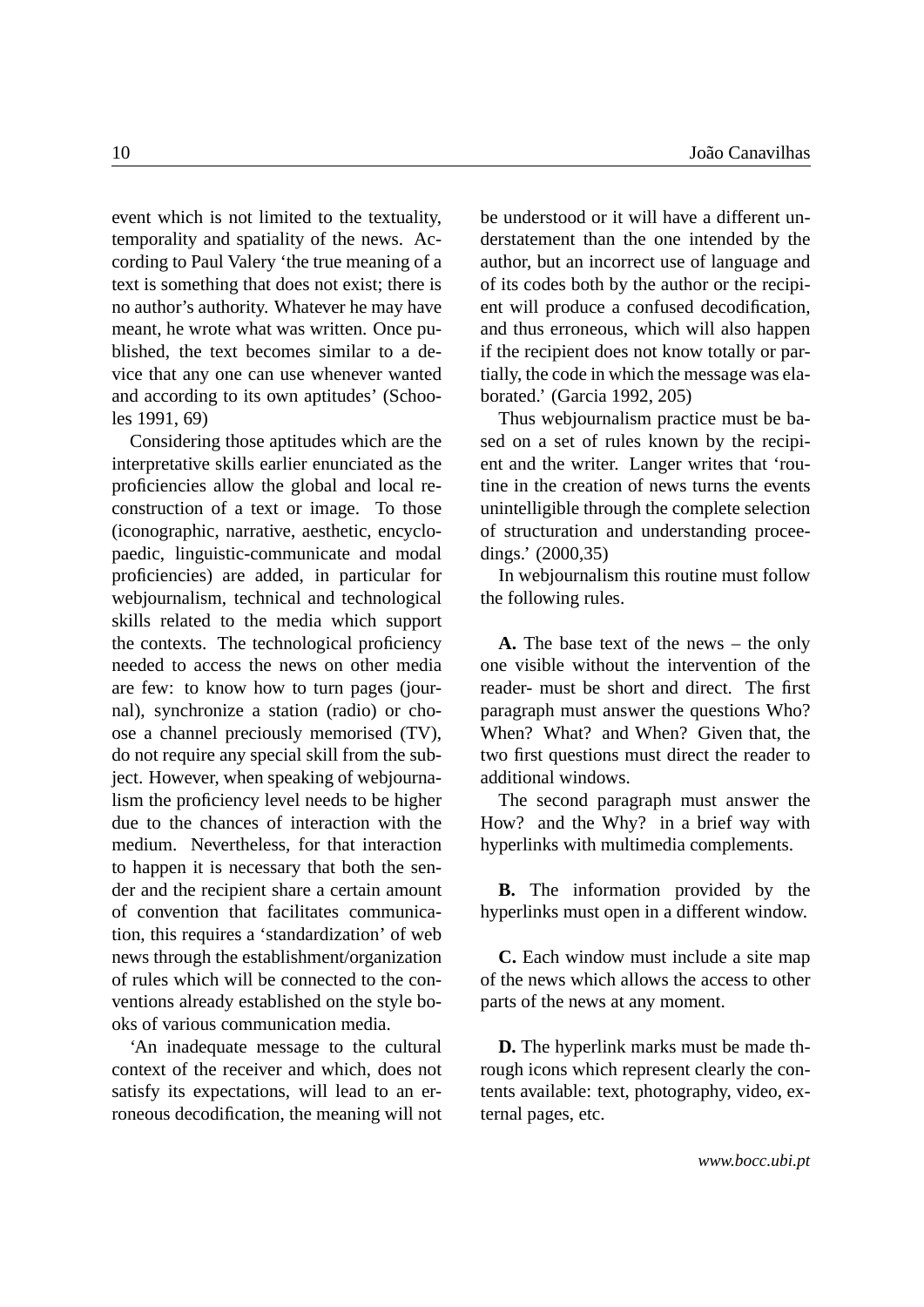event which is not limited to the textuality, temporality and spatiality of the news. According to Paul Valery 'the true meaning of a text is something that does not exist; there is no author's authority. Whatever he may have meant, he wrote what was written. Once published, the text becomes similar to a device that any one can use whenever wanted and according to its own aptitudes' (Schooles 1991, 69)

Considering those aptitudes which are the interpretative skills earlier enunciated as the proficiencies allow the global and local reconstruction of a text or image. To those (iconographic, narrative, aesthetic, encyclopaedic, linguistic-communicate and modal proficiencies) are added, in particular for webjournalism, technical and technological skills related to the media which support the contexts. The technological proficiency needed to access the news on other media are few: to know how to turn pages (journal), synchronize a station (radio) or choose a channel preciously memorised (TV), do not require any special skill from the subject. However, when speaking of webjournalism the proficiency level needs to be higher due to the chances of interaction with the medium. Nevertheless, for that interaction to happen it is necessary that both the sender and the recipient share a certain amount of convention that facilitates communication, this requires a 'standardization' of web news through the establishment/organization of rules which will be connected to the conventions already established on the style books of various communication media.

'An inadequate message to the cultural context of the receiver and which, does not satisfy its expectations, will lead to an erroneous decodification, the meaning will not be understood or it will have a different understatement than the one intended by the author, but an incorrect use of language and of its codes both by the author or the recipient will produce a confused decodification, and thus erroneous, which will also happen if the recipient does not know totally or partially, the code in which the message was elaborated.' (Garcia 1992, 205)

Thus webjournalism practice must be based on a set of rules known by the recipient and the writer. Langer writes that 'routine in the creation of news turns the events unintelligible through the complete selection of structuration and understanding proceedings.' (2000,35)

In webjournalism this routine must follow the following rules.

**A.** The base text of the news – the only one visible without the intervention of the reader- must be short and direct. The first paragraph must answer the questions Who? When? What? and When? Given that, the two first questions must direct the reader to additional windows.

The second paragraph must answer the How? and the Why? in a brief way with hyperlinks with multimedia complements.

**B.** The information provided by the hyperlinks must open in a different window.

**C.** Each window must include a site map of the news which allows the access to other parts of the news at any moment.

**D.** The hyperlink marks must be made through icons which represent clearly the contents available: text, photography, video, external pages, etc.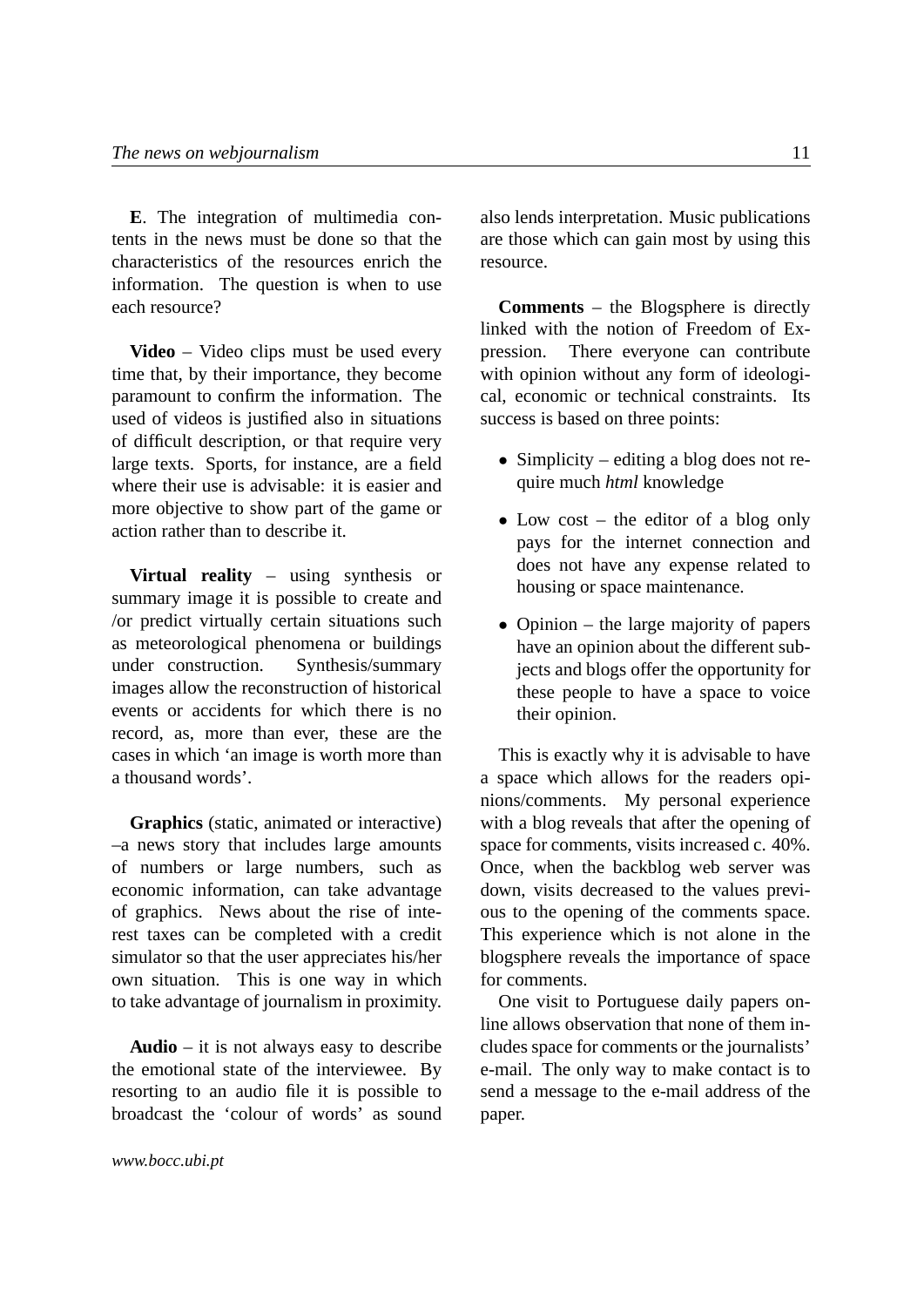**E**. The integration of multimedia contents in the news must be done so that the characteristics of the resources enrich the information. The question is when to use each resource?

**Video** – Video clips must be used every time that, by their importance, they become paramount to confirm the information. The used of videos is justified also in situations of difficult description, or that require very large texts. Sports, for instance, are a field where their use is advisable: it is easier and more objective to show part of the game or action rather than to describe it.

**Virtual reality** – using synthesis or summary image it is possible to create and /or predict virtually certain situations such as meteorological phenomena or buildings under construction. Synthesis/summary images allow the reconstruction of historical events or accidents for which there is no record, as, more than ever, these are the cases in which 'an image is worth more than a thousand words'.

**Graphics** (static, animated or interactive) –a news story that includes large amounts of numbers or large numbers, such as economic information, can take advantage of graphics. News about the rise of interest taxes can be completed with a credit simulator so that the user appreciates his/her own situation. This is one way in which to take advantage of journalism in proximity.

**Audio** – it is not always easy to describe the emotional state of the interviewee. By resorting to an audio file it is possible to broadcast the 'colour of words' as sound also lends interpretation. Music publications are those which can gain most by using this resource.

**Comments** – the Blogsphere is directly linked with the notion of Freedom of Expression. There everyone can contribute with opinion without any form of ideological, economic or technical constraints. Its success is based on three points:

- Simplicity editing a blog does not require much *html* knowledge
- Low cost the editor of a blog only pays for the internet connection and does not have any expense related to housing or space maintenance.
- Opinion the large majority of papers have an opinion about the different subjects and blogs offer the opportunity for these people to have a space to voice their opinion.

This is exactly why it is advisable to have a space which allows for the readers opinions/comments. My personal experience with a blog reveals that after the opening of space for comments, visits increased c. 40%. Once, when the backblog web server was down, visits decreased to the values previous to the opening of the comments space. This experience which is not alone in the blogsphere reveals the importance of space for comments.

One visit to Portuguese daily papers online allows observation that none of them includes space for comments or the journalists' e-mail. The only way to make contact is to send a message to the e-mail address of the paper.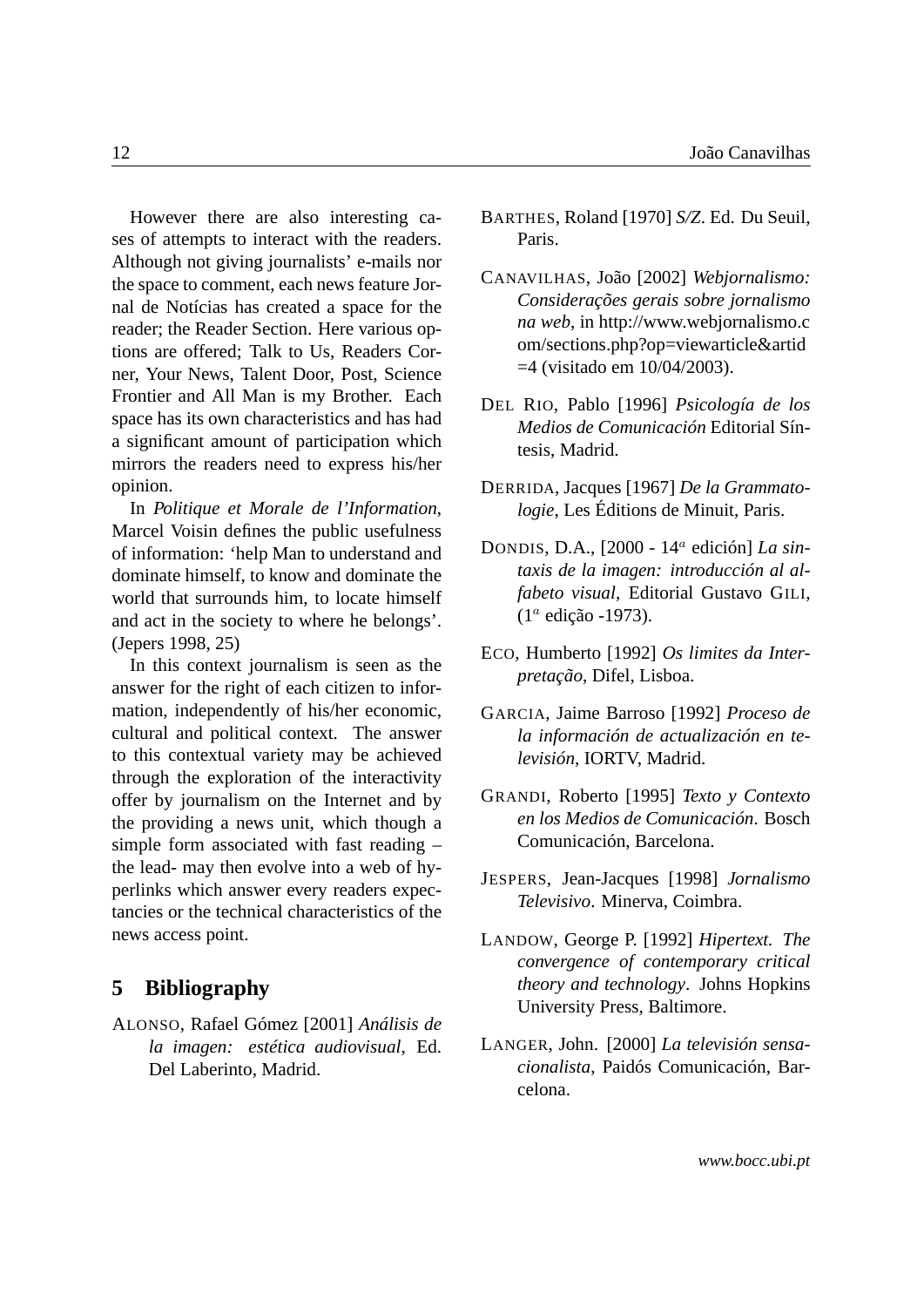However there are also interesting cases of attempts to interact with the readers. Although not giving journalists' e-mails nor the space to comment, each news feature Jornal de Notícias has created a space for the reader; the Reader Section. Here various options are offered; Talk to Us, Readers Corner, Your News, Talent Door, Post, Science Frontier and All Man is my Brother. Each space has its own characteristics and has had a significant amount of participation which mirrors the readers need to express his/her opinion.

In *Politique et Morale de l'Information*, Marcel Voisin defines the public usefulness of information: 'help Man to understand and dominate himself, to know and dominate the world that surrounds him, to locate himself and act in the society to where he belongs'. (Jepers 1998, 25)

In this context journalism is seen as the answer for the right of each citizen to information, independently of his/her economic, cultural and political context. The answer to this contextual variety may be achieved through the exploration of the interactivity offer by journalism on the Internet and by the providing a news unit, which though a simple form associated with fast reading – the lead- may then evolve into a web of hyperlinks which answer every readers expectancies or the technical characteristics of the news access point.

#### <span id="page-11-0"></span>**5 Bibliography**

ALONSO, Rafael Gómez [2001] *Análisis de la imagen: estética audiovisual*, Ed. Del Laberinto, Madrid.

- BARTHES, Roland [1970] *S/Z*. Ed. Du Seuil, Paris.
- CANAVILHAS, João [2002] *Webjornalismo: Considerações gerais sobre jornalismo na web*, in http://www.webjornalismo.c om/sections.php?op=viewarticle&artid =4 (visitado em 10/04/2003).
- DEL RIO, Pablo [1996] *Psicología de los Medios de Comunicación* Editorial Síntesis, Madrid.
- DERRIDA, Jacques [1967] *De la Grammatologie*, Les Éditions de Minuit, Paris.
- DONDIS, D.A., [2000 14<sup>a</sup> edición] *La sintaxis de la imagen: introducción al alfabeto visual*, Editorial Gustavo GILI, (1<sup>a</sup> edição -1973).
- ECO, Humberto [1992] *Os limites da Interpretação*, Difel, Lisboa.
- GARCIA, Jaime Barroso [1992] *Proceso de la información de actualización en televisión*, IORTV, Madrid.
- GRANDI, Roberto [1995] *Texto y Contexto en los Medios de Comunicación*. Bosch Comunicación, Barcelona.
- JESPERS, Jean-Jacques [1998] *Jornalismo Televisivo*. Minerva, Coimbra.
- LANDOW, George P. [1992] *Hipertext. The convergence of contemporary critical theory and technology*. Johns Hopkins University Press, Baltimore.
- LANGER, John. [2000] *La televisión sensacionalista*, Paidós Comunicación, Barcelona.